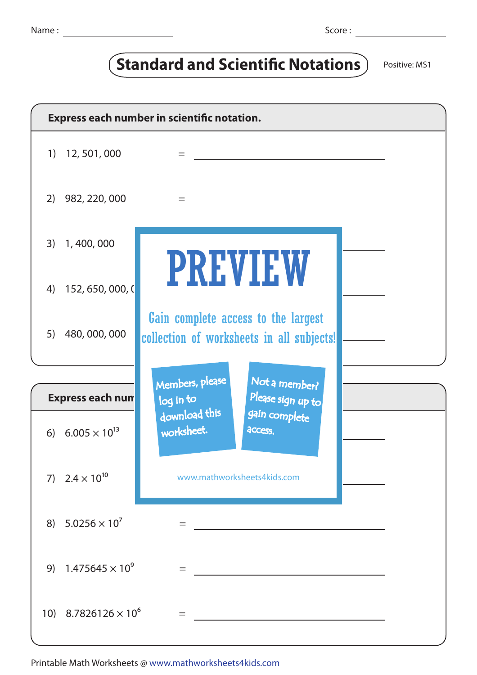## **Standard and Scientific Notations** Positive: MS1

| Express each number in scientific notation. |                             |                                                                                  |  |  |  |
|---------------------------------------------|-----------------------------|----------------------------------------------------------------------------------|--|--|--|
|                                             | 1) 12, 501, 000             | $=$                                                                              |  |  |  |
| (2)                                         | 982, 220, 000               | $=$                                                                              |  |  |  |
|                                             | 3) 1,400,000                |                                                                                  |  |  |  |
| 4)                                          | 152, 650, 000, 0            | <b>PREVIEW</b>                                                                   |  |  |  |
| 5)                                          | 480, 000, 000               | Gain complete access to the largest<br>collection of worksheets in all subjects! |  |  |  |
|                                             |                             |                                                                                  |  |  |  |
| <b>Express each num</b>                     |                             | Members, please<br>Not a member?<br>Please sign up to<br>log in to               |  |  |  |
|                                             | 6) $6.005 \times 10^{13}$   | download this<br>gain complete<br>worksheet.<br>access.                          |  |  |  |
|                                             | 7) $2.4 \times 10^{10}$     | www.mathworksheets4kids.com                                                      |  |  |  |
| 8)                                          | $5.0256 \times 10^{7}$      | =                                                                                |  |  |  |
| 9)                                          | $1.475645 \times 10^{9}$    | =                                                                                |  |  |  |
|                                             | 10) $8.7826126 \times 10^6$ | $=$                                                                              |  |  |  |

Printable Math Worksheets @ www.mathworksheets4kids.com